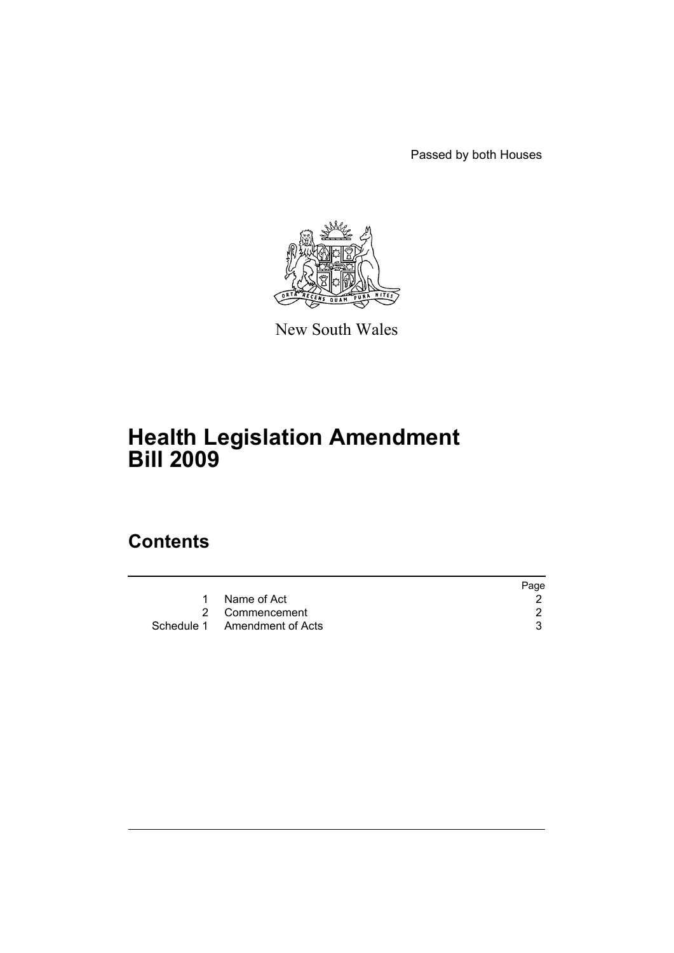Passed by both Houses



New South Wales

# **Health Legislation Amendment Bill 2009**

# **Contents**

|   |                              | Page |
|---|------------------------------|------|
| 1 | Name of Act                  |      |
|   | 2 Commencement               |      |
|   | Schedule 1 Amendment of Acts |      |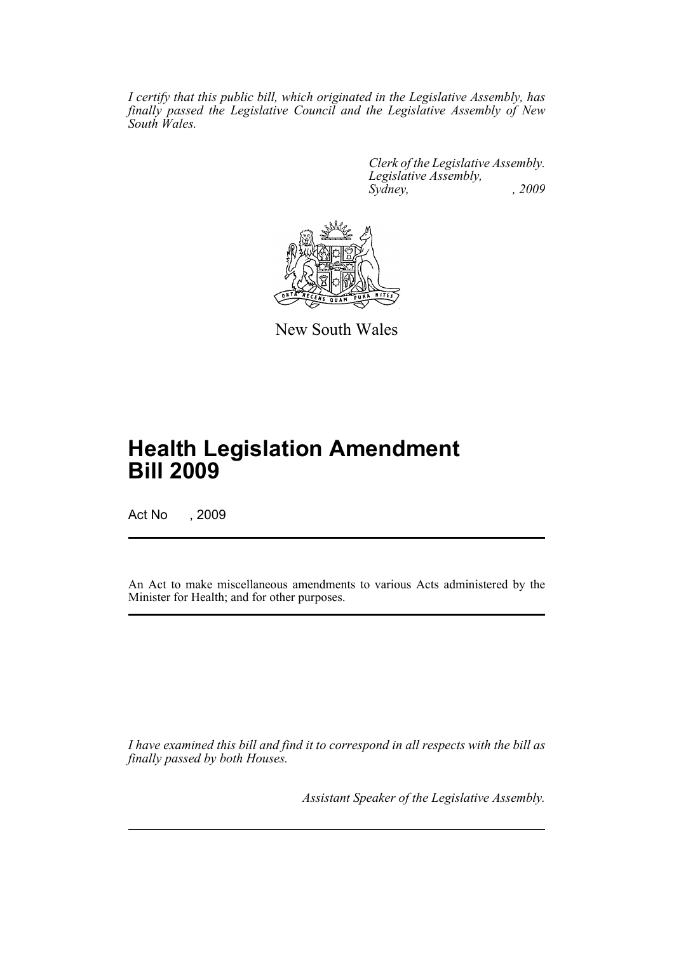*I certify that this public bill, which originated in the Legislative Assembly, has finally passed the Legislative Council and the Legislative Assembly of New South Wales.*

> *Clerk of the Legislative Assembly. Legislative Assembly, Sydney, , 2009*



New South Wales

# **Health Legislation Amendment Bill 2009**

Act No , 2009

An Act to make miscellaneous amendments to various Acts administered by the Minister for Health; and for other purposes.

*I have examined this bill and find it to correspond in all respects with the bill as finally passed by both Houses.*

*Assistant Speaker of the Legislative Assembly.*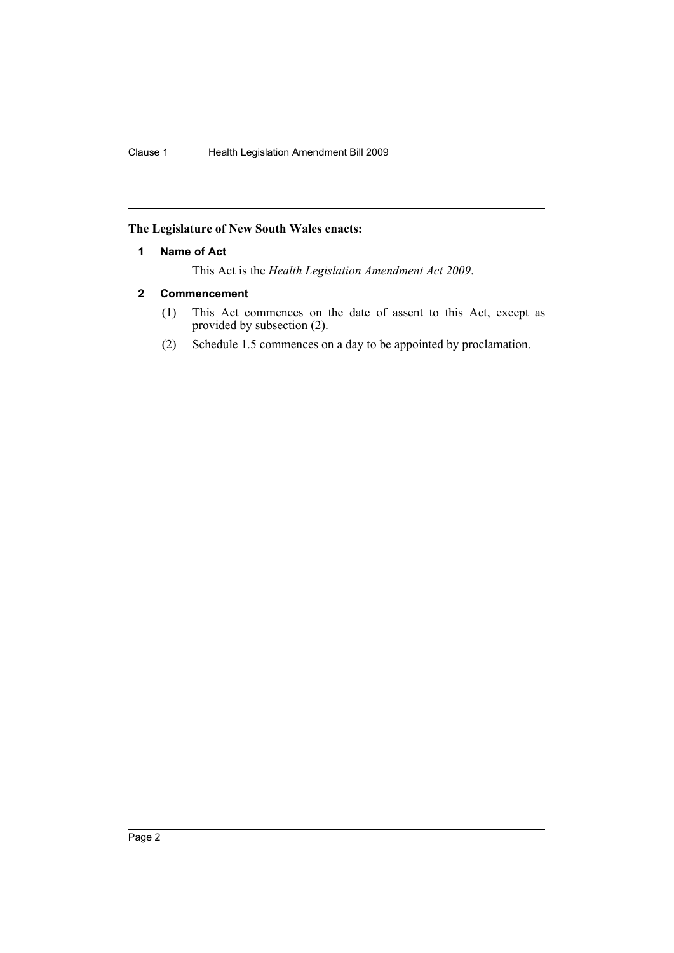# <span id="page-2-0"></span>**The Legislature of New South Wales enacts:**

# **1 Name of Act**

This Act is the *Health Legislation Amendment Act 2009*.

# <span id="page-2-1"></span>**2 Commencement**

- (1) This Act commences on the date of assent to this Act, except as provided by subsection (2).
- (2) Schedule 1.5 commences on a day to be appointed by proclamation.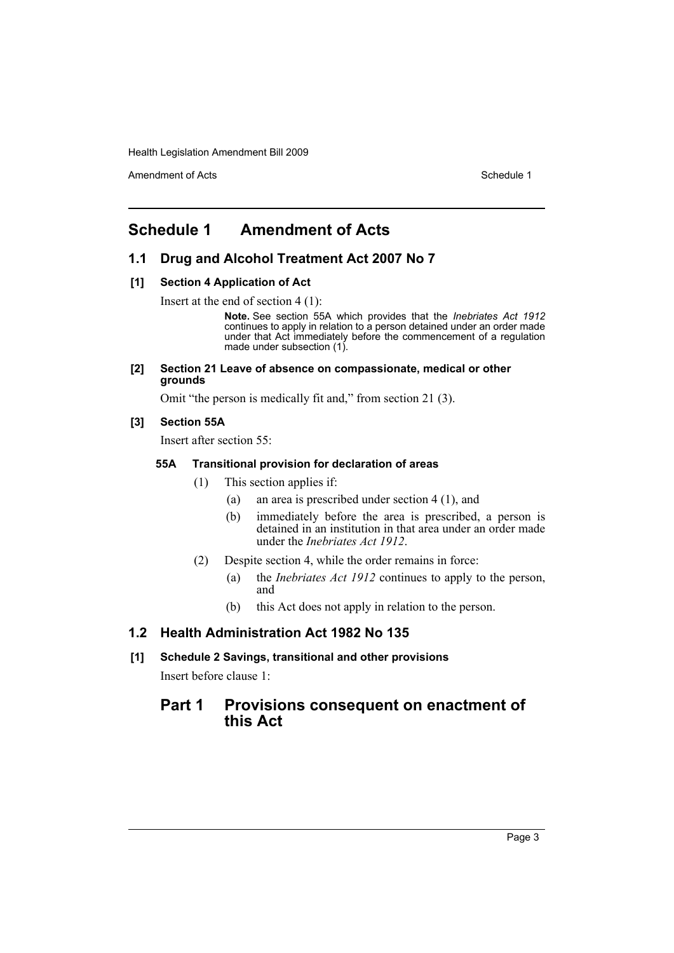Amendment of Acts **Schedule 1** and the set of Acts Schedule 1

# <span id="page-3-0"></span>**Schedule 1 Amendment of Acts**

# **1.1 Drug and Alcohol Treatment Act 2007 No 7**

# **[1] Section 4 Application of Act**

Insert at the end of section 4 (1):

**Note.** See section 55A which provides that the *Inebriates Act 1912* continues to apply in relation to a person detained under an order made under that Act immediately before the commencement of a regulation made under subsection (1).

#### **[2] Section 21 Leave of absence on compassionate, medical or other grounds**

Omit "the person is medically fit and," from section 21 (3).

# **[3] Section 55A**

Insert after section 55:

#### **55A Transitional provision for declaration of areas**

- (1) This section applies if:
	- (a) an area is prescribed under section 4 (1), and
	- (b) immediately before the area is prescribed, a person is detained in an institution in that area under an order made under the *Inebriates Act 1912*.
- (2) Despite section 4, while the order remains in force:
	- (a) the *Inebriates Act 1912* continues to apply to the person, and
	- (b) this Act does not apply in relation to the person.

# **1.2 Health Administration Act 1982 No 135**

**[1] Schedule 2 Savings, transitional and other provisions** Insert before clause 1:

# **Part 1 Provisions consequent on enactment of this Act**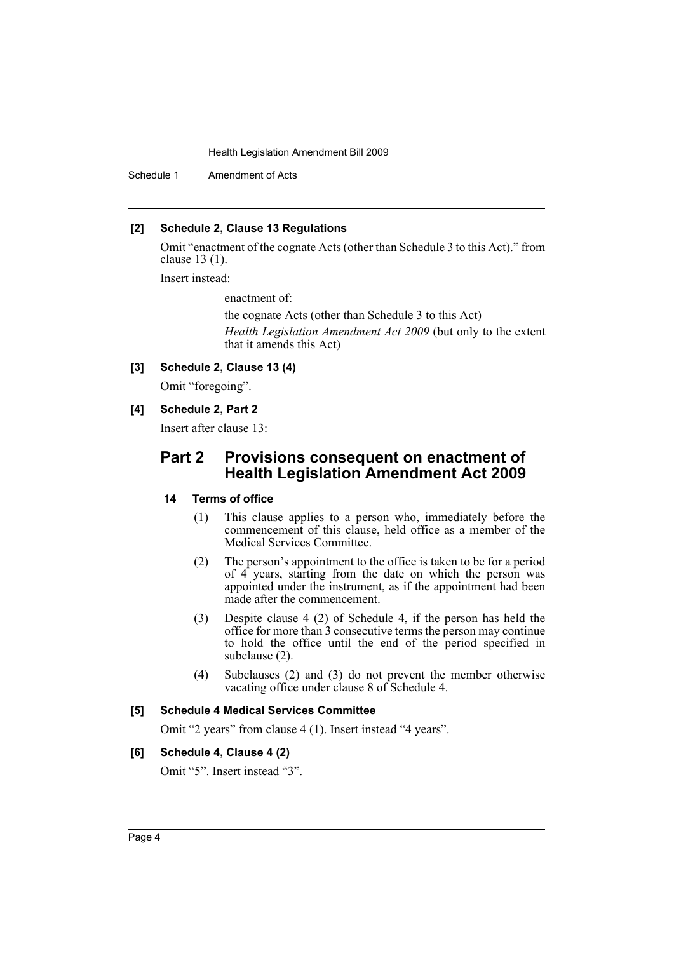Schedule 1 Amendment of Acts

### **[2] Schedule 2, Clause 13 Regulations**

Omit "enactment of the cognate Acts (other than Schedule 3 to this Act)." from clause 13 (1).

Insert instead:

enactment of:

the cognate Acts (other than Schedule 3 to this Act)

*Health Legislation Amendment Act 2009* (but only to the extent that it amends this Act)

# **[3] Schedule 2, Clause 13 (4)**

Omit "foregoing".

**[4] Schedule 2, Part 2**

Insert after clause 13:

# **Part 2 Provisions consequent on enactment of Health Legislation Amendment Act 2009**

# **14 Terms of office**

- (1) This clause applies to a person who, immediately before the commencement of this clause, held office as a member of the Medical Services Committee.
- (2) The person's appointment to the office is taken to be for a period of 4 years, starting from the date on which the person was appointed under the instrument, as if the appointment had been made after the commencement.
- (3) Despite clause 4 (2) of Schedule 4, if the person has held the office for more than 3 consecutive terms the person may continue to hold the office until the end of the period specified in subclause (2).
- (4) Subclauses (2) and (3) do not prevent the member otherwise vacating office under clause 8 of Schedule 4.

#### **[5] Schedule 4 Medical Services Committee**

Omit "2 years" from clause 4 (1). Insert instead "4 years".

# **[6] Schedule 4, Clause 4 (2)**

Omit "5". Insert instead "3".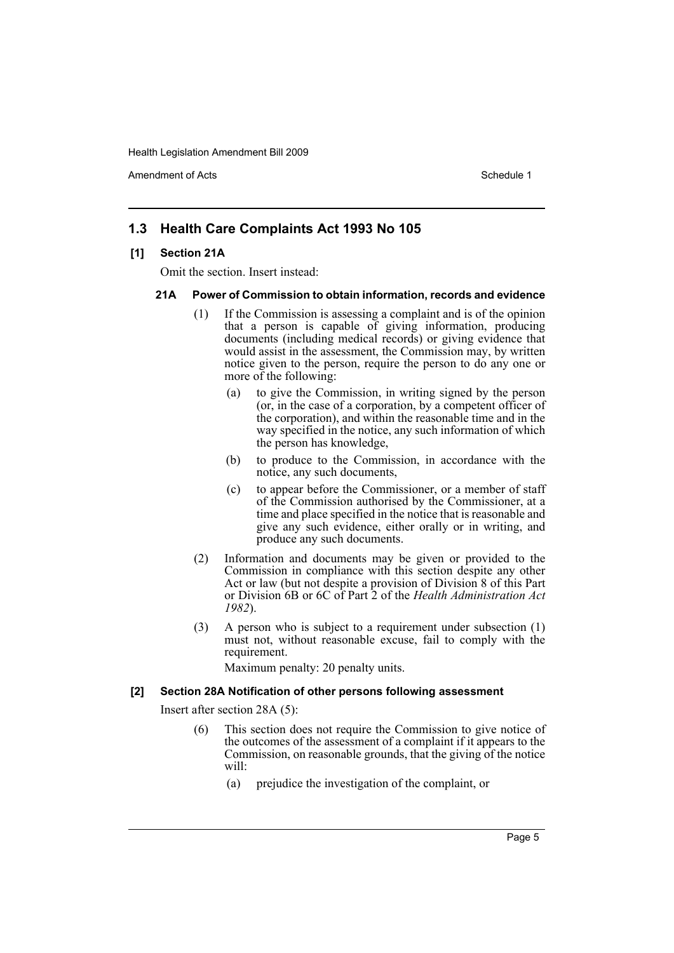Amendment of Acts **Amendment of Acts** Schedule 1

# **1.3 Health Care Complaints Act 1993 No 105**

#### **[1] Section 21A**

Omit the section. Insert instead:

#### **21A Power of Commission to obtain information, records and evidence**

- (1) If the Commission is assessing a complaint and is of the opinion that a person is capable of giving information, producing documents (including medical records) or giving evidence that would assist in the assessment, the Commission may, by written notice given to the person, require the person to do any one or more of the following:
	- (a) to give the Commission, in writing signed by the person (or, in the case of a corporation, by a competent officer of the corporation), and within the reasonable time and in the way specified in the notice, any such information of which the person has knowledge,
	- (b) to produce to the Commission, in accordance with the notice, any such documents,
	- (c) to appear before the Commissioner, or a member of staff of the Commission authorised by the Commissioner, at a time and place specified in the notice that is reasonable and give any such evidence, either orally or in writing, and produce any such documents.
- (2) Information and documents may be given or provided to the Commission in compliance with this section despite any other Act or law (but not despite a provision of Division 8 of this Part or Division 6B or 6C of Part 2 of the *Health Administration Act 1982*).
- (3) A person who is subject to a requirement under subsection (1) must not, without reasonable excuse, fail to comply with the requirement.

Maximum penalty: 20 penalty units.

#### **[2] Section 28A Notification of other persons following assessment**

Insert after section 28A (5):

- (6) This section does not require the Commission to give notice of the outcomes of the assessment of a complaint if it appears to the Commission, on reasonable grounds, that the giving of the notice will:
	- (a) prejudice the investigation of the complaint, or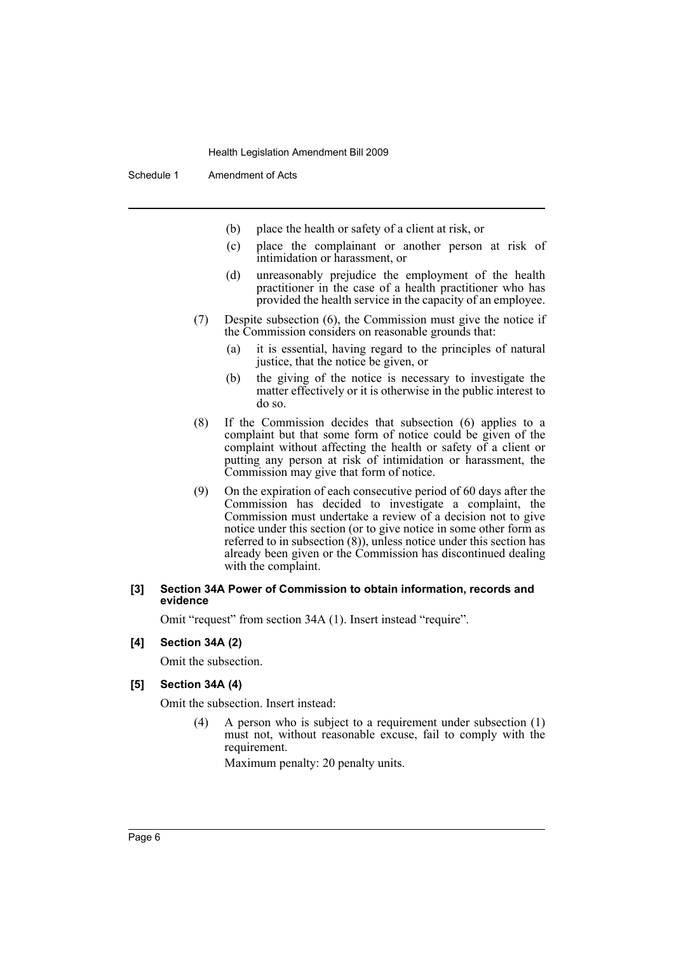- (b) place the health or safety of a client at risk, or
- (c) place the complainant or another person at risk of intimidation or harassment, or
- (d) unreasonably prejudice the employment of the health practitioner in the case of a health practitioner who has provided the health service in the capacity of an employee.
- (7) Despite subsection (6), the Commission must give the notice if the Commission considers on reasonable grounds that:
	- (a) it is essential, having regard to the principles of natural justice, that the notice be given, or
	- (b) the giving of the notice is necessary to investigate the matter effectively or it is otherwise in the public interest to do so.
- (8) If the Commission decides that subsection (6) applies to a complaint but that some form of notice could be given of the complaint without affecting the health or safety of a client or putting any person at risk of intimidation or harassment, the Commission may give that form of notice.
- (9) On the expiration of each consecutive period of 60 days after the Commission has decided to investigate a complaint, the Commission must undertake a review of a decision not to give notice under this section (or to give notice in some other form as referred to in subsection  $(8)$ ), unless notice under this section has already been given or the Commission has discontinued dealing with the complaint.

#### **[3] Section 34A Power of Commission to obtain information, records and evidence**

Omit "request" from section 34A (1). Insert instead "require".

# **[4] Section 34A (2)**

Omit the subsection.

#### **[5] Section 34A (4)**

Omit the subsection. Insert instead:

(4) A person who is subject to a requirement under subsection (1) must not, without reasonable excuse, fail to comply with the requirement.

Maximum penalty: 20 penalty units.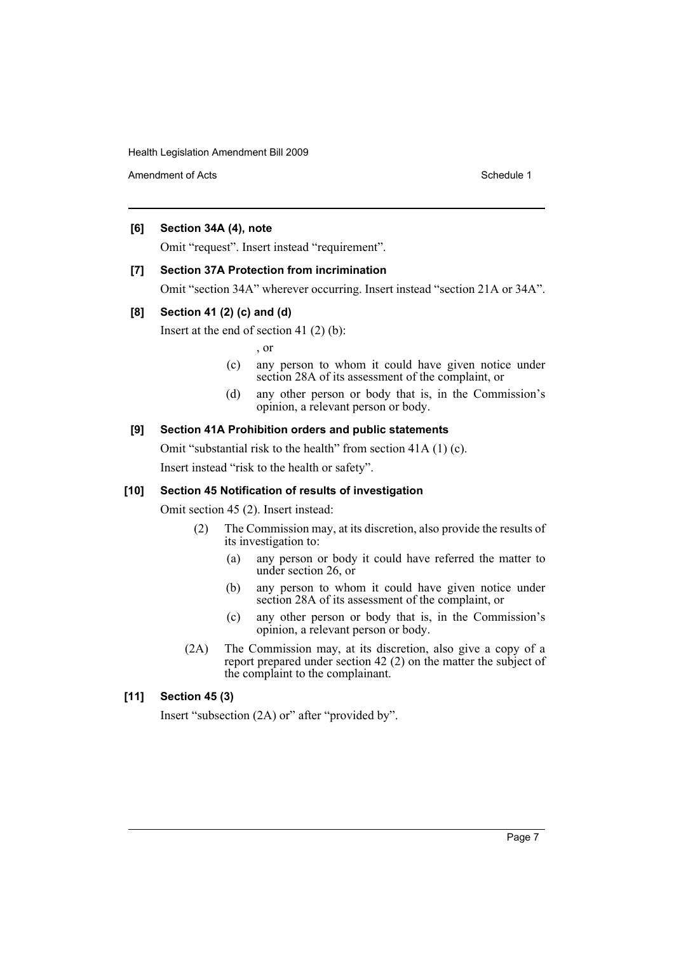Amendment of Acts **Schedule 1** and the set of Acts Schedule 1

# **[6] Section 34A (4), note**

Omit "request". Insert instead "requirement".

# **[7] Section 37A Protection from incrimination**

Omit "section 34A" wherever occurring. Insert instead "section 21A or 34A".

# **[8] Section 41 (2) (c) and (d)**

Insert at the end of section 41 (2) (b):

, or

- (c) any person to whom it could have given notice under section 28A of its assessment of the complaint, or
- (d) any other person or body that is, in the Commission's opinion, a relevant person or body.

# **[9] Section 41A Prohibition orders and public statements**

Omit "substantial risk to the health" from section 41A (1) (c). Insert instead "risk to the health or safety".

# **[10] Section 45 Notification of results of investigation**

Omit section 45 (2). Insert instead:

- (2) The Commission may, at its discretion, also provide the results of its investigation to:
	- (a) any person or body it could have referred the matter to under section 26, or
	- (b) any person to whom it could have given notice under section 28A of its assessment of the complaint, or
	- (c) any other person or body that is, in the Commission's opinion, a relevant person or body.
- (2A) The Commission may, at its discretion, also give a copy of a report prepared under section 42 (2) on the matter the subject of the complaint to the complainant.

# **[11] Section 45 (3)**

Insert "subsection (2A) or" after "provided by".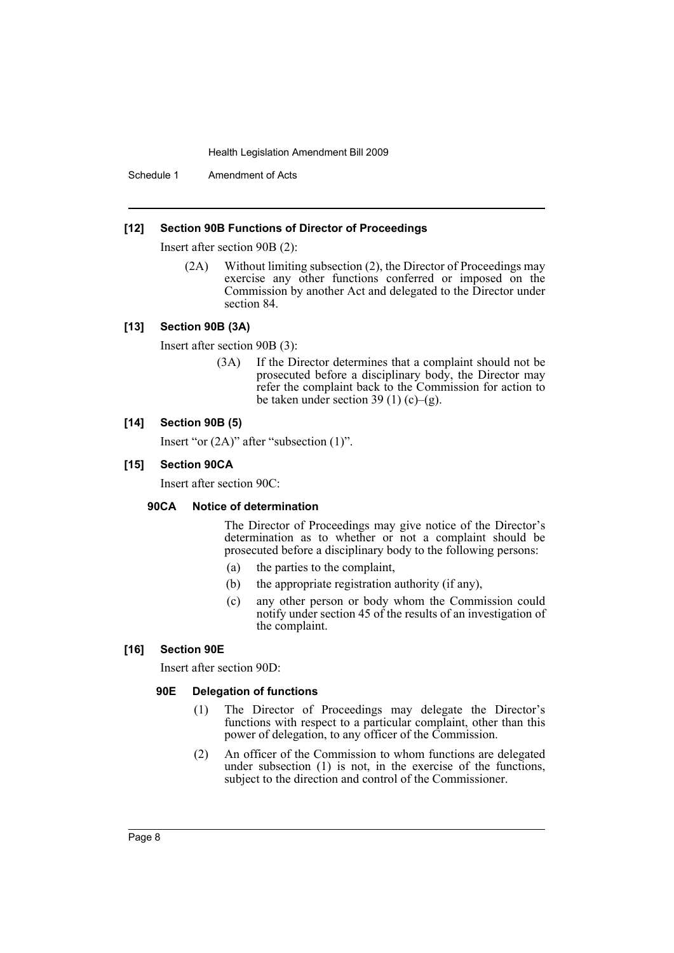Schedule 1 Amendment of Acts

#### **[12] Section 90B Functions of Director of Proceedings**

Insert after section 90B (2):

(2A) Without limiting subsection (2), the Director of Proceedings may exercise any other functions conferred or imposed on the Commission by another Act and delegated to the Director under section 84.

#### **[13] Section 90B (3A)**

Insert after section 90B (3):

(3A) If the Director determines that a complaint should not be prosecuted before a disciplinary body, the Director may refer the complaint back to the Commission for action to be taken under section 39 (1) (c)–(g).

#### **[14] Section 90B (5)**

Insert "or (2A)" after "subsection (1)".

### **[15] Section 90CA**

Insert after section 90C:

#### **90CA Notice of determination**

The Director of Proceedings may give notice of the Director's determination as to whether or not a complaint should be prosecuted before a disciplinary body to the following persons:

- (a) the parties to the complaint,
- (b) the appropriate registration authority (if any),
- (c) any other person or body whom the Commission could notify under section 45 of the results of an investigation of the complaint.

# **[16] Section 90E**

Insert after section 90D:

#### **90E Delegation of functions**

- (1) The Director of Proceedings may delegate the Director's functions with respect to a particular complaint, other than this power of delegation, to any officer of the Commission.
- (2) An officer of the Commission to whom functions are delegated under subsection (1) is not, in the exercise of the functions, subject to the direction and control of the Commissioner.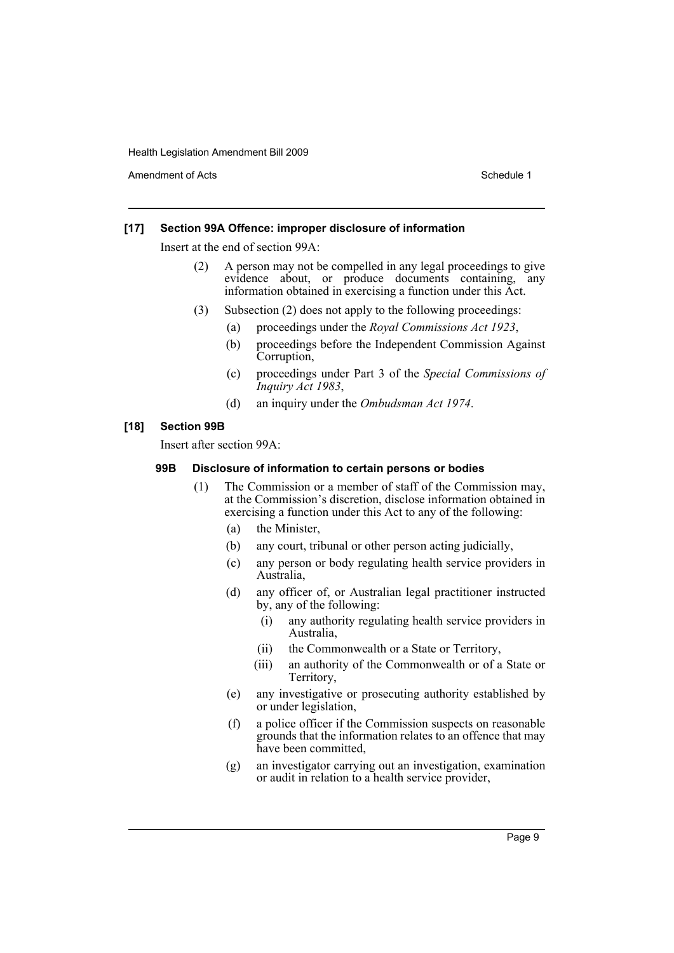Amendment of Acts **Schedule 1** and the set of Acts Schedule 1

## **[17] Section 99A Offence: improper disclosure of information**

Insert at the end of section 99A:

- (2) A person may not be compelled in any legal proceedings to give evidence about, or produce documents containing, any information obtained in exercising a function under this Act.
- (3) Subsection (2) does not apply to the following proceedings:
	- (a) proceedings under the *Royal Commissions Act 1923*,
	- (b) proceedings before the Independent Commission Against Corruption,
	- (c) proceedings under Part 3 of the *Special Commissions of Inquiry Act 1983*,
	- (d) an inquiry under the *Ombudsman Act 1974*.

# **[18] Section 99B**

Insert after section 99A:

#### **99B Disclosure of information to certain persons or bodies**

- (1) The Commission or a member of staff of the Commission may, at the Commission's discretion, disclose information obtained in exercising a function under this Act to any of the following:
	- (a) the Minister,
	- (b) any court, tribunal or other person acting judicially,
	- (c) any person or body regulating health service providers in Australia,
	- (d) any officer of, or Australian legal practitioner instructed by, any of the following:
		- (i) any authority regulating health service providers in Australia,
		- (ii) the Commonwealth or a State or Territory,
		- (iii) an authority of the Commonwealth or of a State or Territory,
	- (e) any investigative or prosecuting authority established by or under legislation,
	- (f) a police officer if the Commission suspects on reasonable grounds that the information relates to an offence that may have been committed,
	- (g) an investigator carrying out an investigation, examination or audit in relation to a health service provider,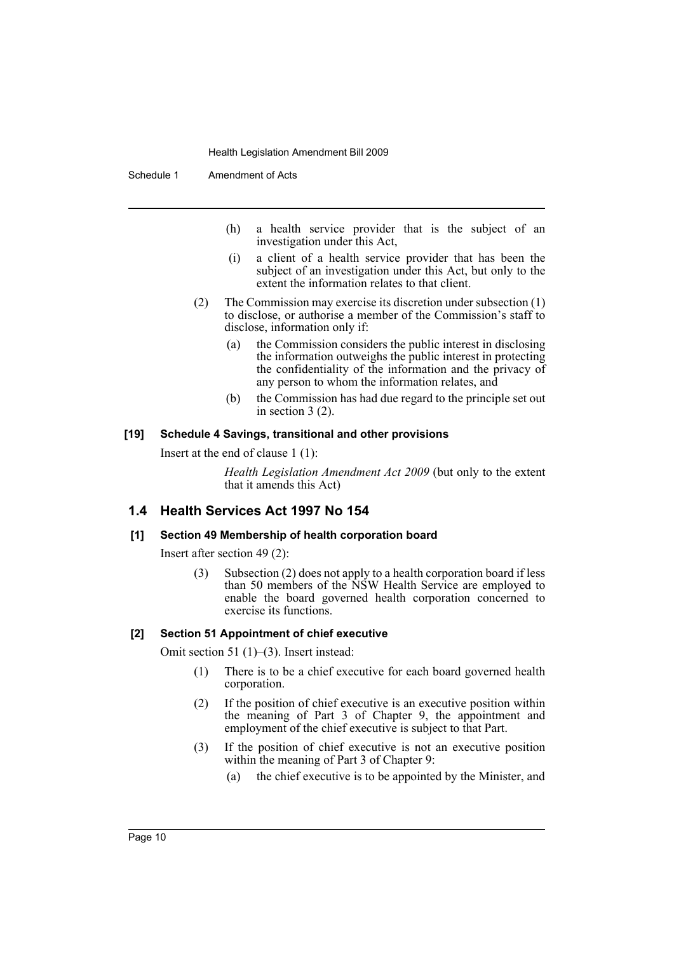Schedule 1 Amendment of Acts

- (h) a health service provider that is the subject of an investigation under this Act,
- (i) a client of a health service provider that has been the subject of an investigation under this Act, but only to the extent the information relates to that client.
- (2) The Commission may exercise its discretion under subsection (1) to disclose, or authorise a member of the Commission's staff to disclose, information only if:
	- (a) the Commission considers the public interest in disclosing the information outweighs the public interest in protecting the confidentiality of the information and the privacy of any person to whom the information relates, and
	- (b) the Commission has had due regard to the principle set out in section 3 (2).

#### **[19] Schedule 4 Savings, transitional and other provisions**

Insert at the end of clause 1 (1):

*Health Legislation Amendment Act 2009* (but only to the extent that it amends this Act)

# **1.4 Health Services Act 1997 No 154**

#### **[1] Section 49 Membership of health corporation board**

Insert after section 49 (2):

(3) Subsection (2) does not apply to a health corporation board if less than 50 members of the NSW Health Service are employed to enable the board governed health corporation concerned to exercise its functions.

#### **[2] Section 51 Appointment of chief executive**

Omit section 51 (1)–(3). Insert instead:

- (1) There is to be a chief executive for each board governed health corporation.
- (2) If the position of chief executive is an executive position within the meaning of Part 3 of Chapter 9, the appointment and employment of the chief executive is subject to that Part.
- (3) If the position of chief executive is not an executive position within the meaning of Part 3 of Chapter 9:
	- (a) the chief executive is to be appointed by the Minister, and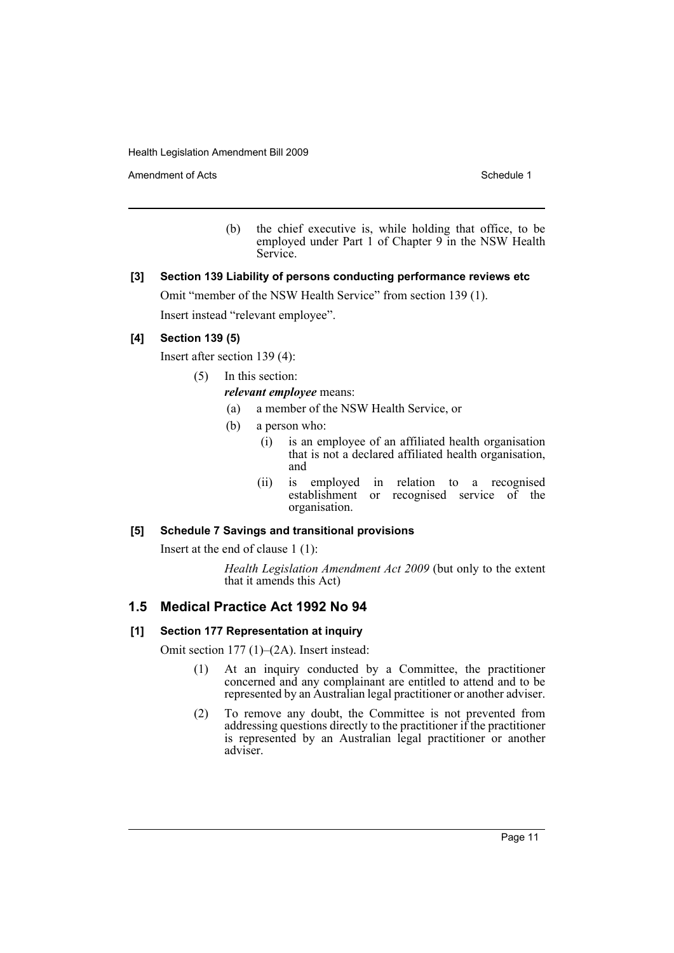Amendment of Acts **Schedule 1** and the set of Acts Schedule 1

(b) the chief executive is, while holding that office, to be employed under Part 1 of Chapter 9 in the NSW Health Service.

# **[3] Section 139 Liability of persons conducting performance reviews etc**

Omit "member of the NSW Health Service" from section 139 (1).

Insert instead "relevant employee".

# **[4] Section 139 (5)**

Insert after section 139 (4):

- (5) In this section:
	- *relevant employee* means:
		- (a) a member of the NSW Health Service, or
		- (b) a person who:
			- (i) is an employee of an affiliated health organisation that is not a declared affiliated health organisation, and
			- (ii) is employed in relation to a recognised establishment or recognised service of the organisation.

# **[5] Schedule 7 Savings and transitional provisions**

Insert at the end of clause 1 (1):

*Health Legislation Amendment Act 2009* (but only to the extent that it amends this Act)

# **1.5 Medical Practice Act 1992 No 94**

#### **[1] Section 177 Representation at inquiry**

Omit section 177 (1)–(2A). Insert instead:

- (1) At an inquiry conducted by a Committee, the practitioner concerned and any complainant are entitled to attend and to be represented by an Australian legal practitioner or another adviser.
- (2) To remove any doubt, the Committee is not prevented from addressing questions directly to the practitioner if the practitioner is represented by an Australian legal practitioner or another adviser.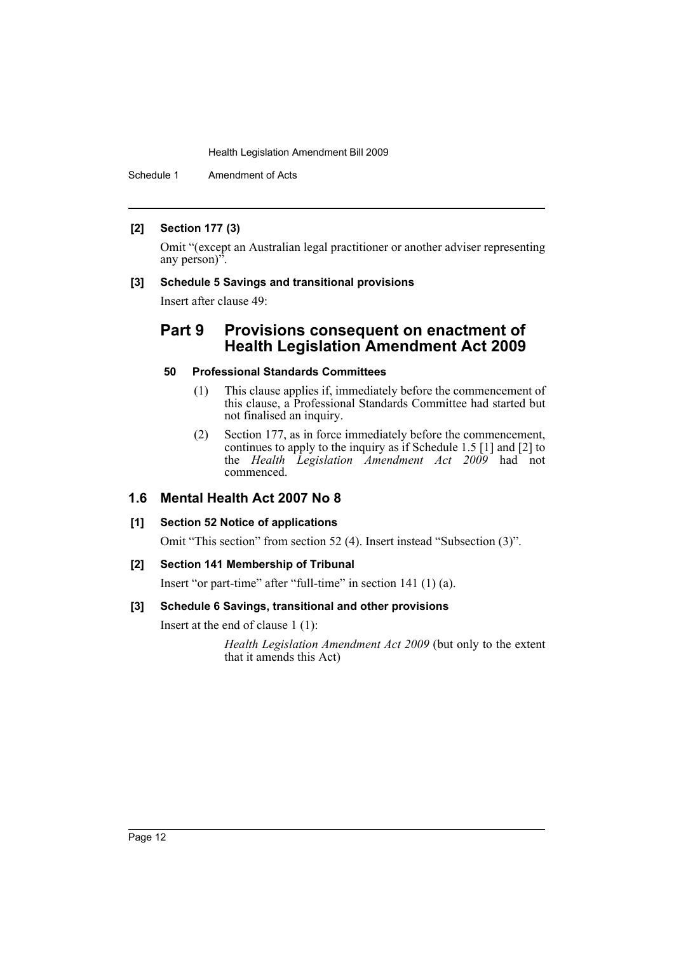Schedule 1 Amendment of Acts

# **[2] Section 177 (3)**

Omit "(except an Australian legal practitioner or another adviser representing any person)".

# **[3] Schedule 5 Savings and transitional provisions**

Insert after clause 49:

# **Part 9 Provisions consequent on enactment of Health Legislation Amendment Act 2009**

# **50 Professional Standards Committees**

- (1) This clause applies if, immediately before the commencement of this clause, a Professional Standards Committee had started but not finalised an inquiry.
- (2) Section 177, as in force immediately before the commencement, continues to apply to the inquiry as if Schedule 1.5 [1] and [2] to the *Health Legislation Amendment Act 2009* had not commenced.

# **1.6 Mental Health Act 2007 No 8**

# **[1] Section 52 Notice of applications**

Omit "This section" from section 52 (4). Insert instead "Subsection (3)".

# **[2] Section 141 Membership of Tribunal**

Insert "or part-time" after "full-time" in section 141 (1) (a).

# **[3] Schedule 6 Savings, transitional and other provisions**

Insert at the end of clause 1 (1):

*Health Legislation Amendment Act 2009* (but only to the extent that it amends this Act)